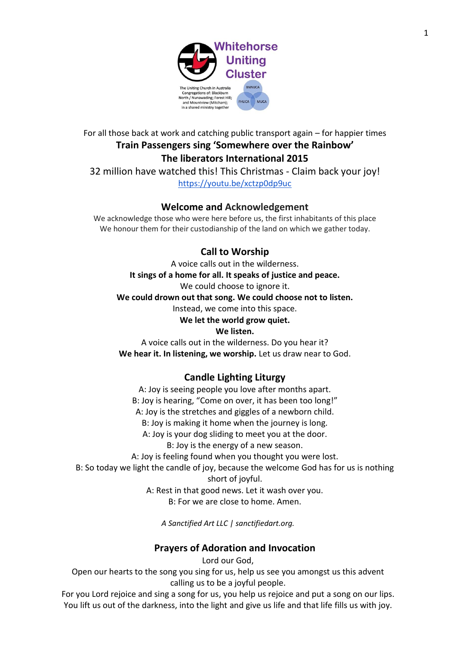

For all those back at work and catching public transport again – for happier times **Train Passengers sing 'Somewhere over the Rainbow' The liberators International 2015**

32 million have watched this! This Christmas - Claim back your joy! <https://youtu.be/xctzp0dp9uc>

## **Welcome and Acknowledgement**

We acknowledge those who were here before us, the first inhabitants of this place We honour them for their custodianship of the land on which we gather today.

# **Call to Worship**

A voice calls out in the wilderness. **It sings of a home for all. It speaks of justice and peace.** We could choose to ignore it. **We could drown out that song. We could choose not to listen.** Instead, we come into this space. **We let the world grow quiet.**

## **We listen.**

A voice calls out in the wilderness. Do you hear it? We hear it. In listening, we worship. Let us draw near to God.

# **Candle Lighting Liturgy**

A: Joy is seeing people you love after months apart. B: Joy is hearing, "Come on over, it has been too long!" A: Joy is the stretches and giggles of a newborn child. B: Joy is making it home when the journey is long. A: Joy is your dog sliding to meet you at the door. B: Joy is the energy of a new season. A: Joy is feeling found when you thought you were lost.

B: So today we light the candle of joy, because the welcome God has for us is nothing short of joyful.

> A: Rest in that good news. Let it wash over you. B: For we are close to home. Amen.

*A Sanctified Art LLC | sanctifiedart.org.*

# **Prayers of Adoration and Invocation**

Lord our God,

Open our hearts to the song you sing for us, help us see you amongst us this advent calling us to be a joyful people.

For you Lord rejoice and sing a song for us, you help us rejoice and put a song on our lips. You lift us out of the darkness, into the light and give us life and that life fills us with joy.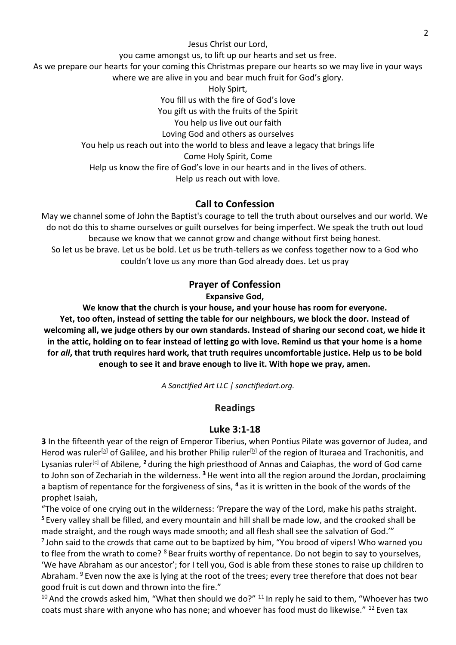Jesus Christ our Lord,

you came amongst us, to lift up our hearts and set us free.

As we prepare our hearts for your coming this Christmas prepare our hearts so we may live in your ways where we are alive in you and bear much fruit for God's glory.

Holy Spirt, You fill us with the fire of God's love You gift us with the fruits of the Spirit You help us live out our faith Loving God and others as ourselves You help us reach out into the world to bless and leave a legacy that brings life Come Holy Spirit, Come Help us know the fire of God's love in our hearts and in the lives of others. Help us reach out with love.

# **Call to Confession**

May we channel some of John the Baptist's courage to tell the truth about ourselves and our world. We do not do this to shame ourselves or guilt ourselves for being imperfect. We speak the truth out loud because we know that we cannot grow and change without first being honest. So let us be brave. Let us be bold. Let us be truth-tellers as we confess together now to a God who couldn't love us any more than God already does. Let us pray

# **Prayer of Confession**

**Expansive God,**

**We know that the church is your house, and your house has room for everyone. Yet, too often, instead of setting the table for our neighbours, we block the door. Instead of welcoming all, we judge others by our own standards. Instead of sharing our second coat, we hide it in the attic, holding on to fear instead of letting go with love. Remind us that your home is a home for** *all***, that truth requires hard work, that truth requires uncomfortable justice. Help us to be bold enough to see it and brave enough to live it. With hope we pray, amen.**

*A Sanctified Art LLC | sanctifiedart.org.*

# **Readings**

## **Luke 3:1-18**

**3** In the fifteenth year of the reign of Emperor Tiberius, when Pontius Pilate was governor of Judea, and Herod was ruler<sup>[\[a\]](https://www.biblegateway.com/passage/?search=Luke+3%3A1-18&version=NRSV#fen-NRSV-25019a)</sup> of Galilee, and his brother Philip ruler<sup>[\[b\]](https://www.biblegateway.com/passage/?search=Luke+3%3A1-18&version=NRSV#fen-NRSV-25019b)</sup> of the region of Ituraea and Trachonitis, and Lysanias ruler<sup>[\[c\]](https://www.biblegateway.com/passage/?search=Luke+3%3A1-18&version=NRSV#fen-NRSV-25019c)</sup> of Abilene, <sup>2</sup> during the high priesthood of Annas and Caiaphas, the word of God came to John son of Zechariah in the wilderness. **<sup>3</sup>**He went into all the region around the Jordan, proclaiming a baptism of repentance for the forgiveness of sins, **<sup>4</sup>** as it is written in the book of the words of the prophet Isaiah,

"The voice of one crying out in the wilderness: 'Prepare the way of the Lord, make his paths straight. **<sup>5</sup>** Every valley shall be filled, and every mountain and hill shall be made low, and the crooked shall be made straight, and the rough ways made smooth; and all flesh shall see the salvation of God.'"

 $^7$ John said to the crowds that came out to be baptized by him, "You brood of vipers! Who warned you to flee from the wrath to come? <sup>8</sup> Bear fruits worthy of repentance. Do not begin to say to yourselves, 'We have Abraham as our ancestor'; for I tell you, God is able from these stones to raise up children to Abraham.  $9$  Even now the axe is lying at the root of the trees; every tree therefore that does not bear good fruit is cut down and thrown into the fire."

 $10$  And the crowds asked him, "What then should we do?"  $11$  In reply he said to them, "Whoever has two coats must share with anyone who has none; and whoever has food must do likewise." <sup>12</sup> Even tax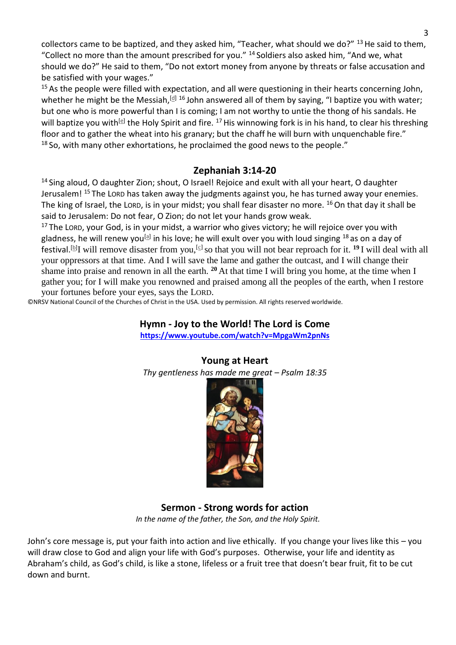collectors came to be baptized, and they asked him, "Teacher, what should we do?"  $^{13}$  He said to them, "Collect no more than the amount prescribed for you." <sup>14</sup> Soldiers also asked him, "And we, what should we do?" He said to them, "Do not extort money from anyone by threats or false accusation and be satisfied with your wages."

<sup>15</sup> As the people were filled with expectation, and all were questioning in their hearts concerning John, whether he might be the Messiah,<sup>[\[d\]](https://www.biblegateway.com/passage/?search=Luke+3%3A1-18&version=NRSV#fen-NRSV-25033d) 16</sup> John answered all of them by saying, "I baptize you with water; but one who is more powerful than I is coming; I am not worthy to untie the thong of his sandals. He will baptize you with<sup>[\[e\]](https://www.biblegateway.com/passage/?search=Luke+3%3A1-18&version=NRSV#fen-NRSV-25034e)</sup> the Holy Spirit and fire. <sup>17</sup> His winnowing fork is in his hand, to clear his threshing floor and to gather the wheat into his granary; but the chaff he will burn with unquenchable fire."  $18$  So, with many other exhortations, he proclaimed the good news to the people."

## **Zephaniah 3:14-20**

<sup>14</sup> Sing aloud, O daughter Zion; shout, O Israel! Rejoice and exult with all your heart, O daughter Jerusalem!<sup>15</sup> The LORD has taken away the judgments against you, he has turned away your enemies. The king of Israel, the LORD, is in your midst; you shall fear disaster no more.  $^{16}$  On that day it shall be said to Jerusalem: Do not fear, O Zion; do not let your hands grow weak.

 $17$  The LORD, your God, is in your midst, a warrior who gives victory; he will rejoice over you with gladness, he will renew you<sup>[\[a\]](https://www.biblegateway.com/passage/?search=Zephaniah+3%3A14-20&version=NRSV#fen-NRSV-22838a)</sup> in his love; he will exult over you with loud singing <sup>18</sup> as on a day of festival.[\[b\]](https://www.biblegateway.com/passage/?search=Zephaniah+3%3A14-20&version=NRSV#fen-NRSV-22839b) I will remove disaster from you,[\[c\]](https://www.biblegateway.com/passage/?search=Zephaniah+3%3A14-20&version=NRSV#fen-NRSV-22839c) so that you will not bear reproach for it. **<sup>19</sup>** I will deal with all your oppressors at that time. And I will save the lame and gather the outcast, and I will change their shame into praise and renown in all the earth. **<sup>20</sup>** At that time I will bring you home, at the time when I gather you; for I will make you renowned and praised among all the peoples of the earth, when I restore your fortunes before your eyes, says the LORD.

©NRSV National Council of the Churches of Christ in the USA. Used by permission. All rights reserved worldwide.

## **Hymn - Joy to the World! The Lord is Come**

**<https://www.youtube.com/watch?v=MpgaWm2pnNs>**

## **Young at Heart**

*Thy gentleness has made me great – Psalm 18:35*



**Sermon - Strong words for action** *In the name of the father, the Son, and the Holy Spirit.*

John's core message is, put your faith into action and live ethically. If you change your lives like this – you will draw close to God and align your life with God's purposes. Otherwise, your life and identity as Abraham's child, as God's child, is like a stone, lifeless or a fruit tree that doesn't bear fruit, fit to be cut down and burnt.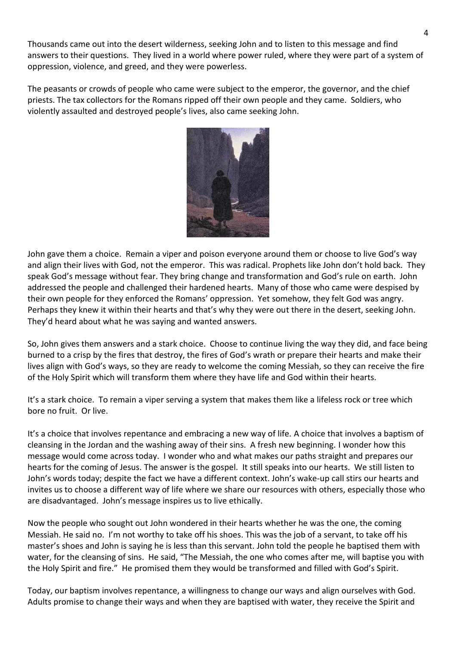Thousands came out into the desert wilderness, seeking John and to listen to this message and find answers to their questions. They lived in a world where power ruled, where they were part of a system of oppression, violence, and greed, and they were powerless.

The peasants or crowds of people who came were subject to the emperor, the governor, and the chief priests. The tax collectors for the Romans ripped off their own people and they came. Soldiers, who violently assaulted and destroyed people's lives, also came seeking John.



John gave them a choice. Remain a viper and poison everyone around them or choose to live God's way and align their lives with God, not the emperor. This was radical. Prophets like John don't hold back. They speak God's message without fear. They bring change and transformation and God's rule on earth. John addressed the people and challenged their hardened hearts. Many of those who came were despised by their own people for they enforced the Romans' oppression. Yet somehow, they felt God was angry. Perhaps they knew it within their hearts and that's why they were out there in the desert, seeking John. They'd heard about what he was saying and wanted answers.

So, John gives them answers and a stark choice. Choose to continue living the way they did, and face being burned to a crisp by the fires that destroy, the fires of God's wrath or prepare their hearts and make their lives align with God's ways, so they are ready to welcome the coming Messiah, so they can receive the fire of the Holy Spirit which will transform them where they have life and God within their hearts.

It's a stark choice. To remain a viper serving a system that makes them like a lifeless rock or tree which bore no fruit. Or live.

It's a choice that involves repentance and embracing a new way of life. A choice that involves a baptism of cleansing in the Jordan and the washing away of their sins. A fresh new beginning. I wonder how this message would come across today. I wonder who and what makes our paths straight and prepares our hearts for the coming of Jesus. The answer is the gospel. It still speaks into our hearts. We still listen to John's words today; despite the fact we have a different context. John's wake-up call stirs our hearts and invites us to choose a different way of life where we share our resources with others, especially those who are disadvantaged. John's message inspires us to live ethically.

Now the people who sought out John wondered in their hearts whether he was the one, the coming Messiah. He said no. I'm not worthy to take off his shoes. This was the job of a servant, to take off his master's shoes and John is saying he is less than this servant. John told the people he baptised them with water, for the cleansing of sins. He said, "The Messiah, the one who comes after me, will baptise you with the Holy Spirit and fire." He promised them they would be transformed and filled with God's Spirit.

Today, our baptism involves repentance, a willingness to change our ways and align ourselves with God. Adults promise to change their ways and when they are baptised with water, they receive the Spirit and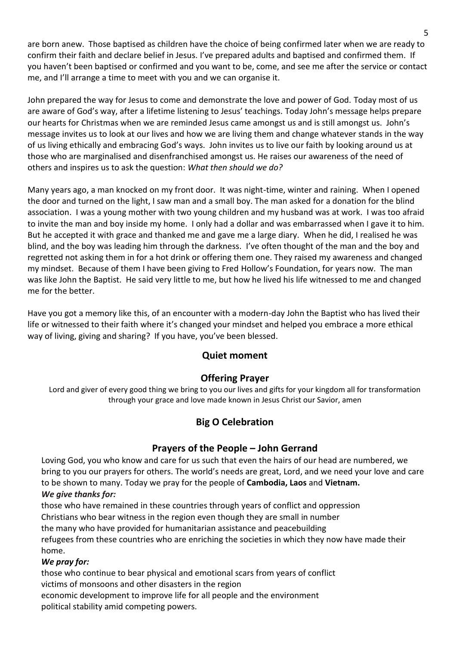are born anew. Those baptised as children have the choice of being confirmed later when we are ready to confirm their faith and declare belief in Jesus. I've prepared adults and baptised and confirmed them. If you haven't been baptised or confirmed and you want to be, come, and see me after the service or contact me, and I'll arrange a time to meet with you and we can organise it.

John prepared the way for Jesus to come and demonstrate the love and power of God. Today most of us are aware of God's way, after a lifetime listening to Jesus' teachings. Today John's message helps prepare our hearts for Christmas when we are reminded Jesus came amongst us and is still amongst us. John's message invites us to look at our lives and how we are living them and change whatever stands in the way of us living ethically and embracing God's ways. John invites us to live our faith by looking around us at those who are marginalised and disenfranchised amongst us. He raises our awareness of the need of others and inspires us to ask the question: *What then should we do?*

Many years ago, a man knocked on my front door. It was night-time, winter and raining. When I opened the door and turned on the light, I saw man and a small boy. The man asked for a donation for the blind association. I was a young mother with two young children and my husband was at work. I was too afraid to invite the man and boy inside my home. I only had a dollar and was embarrassed when I gave it to him. But he accepted it with grace and thanked me and gave me a large diary. When he did, I realised he was blind, and the boy was leading him through the darkness. I've often thought of the man and the boy and regretted not asking them in for a hot drink or offering them one. They raised my awareness and changed my mindset. Because of them I have been giving to Fred Hollow's Foundation, for years now. The man was like John the Baptist. He said very little to me, but how he lived his life witnessed to me and changed me for the better.

Have you got a memory like this, of an encounter with a modern-day John the Baptist who has lived their life or witnessed to their faith where it's changed your mindset and helped you embrace a more ethical way of living, giving and sharing? If you have, you've been blessed.

# **Quiet moment**

# **Offering Prayer**

Lord and giver of every good thing we bring to you our lives and gifts for your kingdom all for transformation through your grace and love made known in Jesus Christ our Savior, amen

# **Big O Celebration**

## **Prayers of the People – John Gerrand**

Loving God, you who know and care for us such that even the hairs of our head are numbered, we bring to you our prayers for others. The world's needs are great, Lord, and we need your love and care to be shown to many. Today we pray for the people of **Cambodia, Laos** and **Vietnam.** *We give thanks for:*

those who have remained in these countries through years of conflict and oppression Christians who bear witness in the region even though they are small in number

the many who have provided for humanitarian assistance and peacebuilding refugees from these countries who are enriching the societies in which they now have made their home.

### *We pray for:*

those who continue to bear physical and emotional scars from years of conflict victims of monsoons and other disasters in the region economic development to improve life for all people and the environment political stability amid competing powers.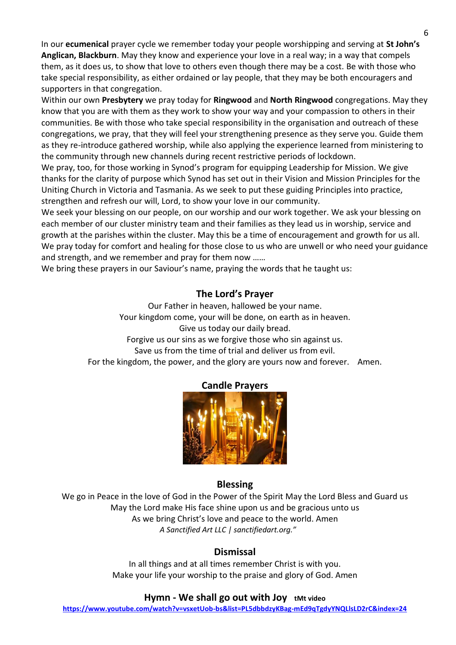In our **ecumenical** prayer cycle we remember today your people worshipping and serving at **St John's Anglican, Blackburn**. May they know and experience your love in a real way; in a way that compels them, as it does us, to show that love to others even though there may be a cost. Be with those who take special responsibility, as either ordained or lay people, that they may be both encouragers and supporters in that congregation.

Within our own **Presbytery** we pray today for **Ringwood** and **North Ringwood** congregations. May they know that you are with them as they work to show your way and your compassion to others in their communities. Be with those who take special responsibility in the organisation and outreach of these congregations, we pray, that they will feel your strengthening presence as they serve you. Guide them as they re-introduce gathered worship, while also applying the experience learned from ministering to the community through new channels during recent restrictive periods of lockdown.

We pray, too, for those working in Synod's program for equipping Leadership for Mission. We give thanks for the clarity of purpose which Synod has set out in their Vision and Mission Principles for the Uniting Church in Victoria and Tasmania. As we seek to put these guiding Principles into practice, strengthen and refresh our will, Lord, to show your love in our community.

We seek your blessing on our people, on our worship and our work together. We ask your blessing on each member of our cluster ministry team and their families as they lead us in worship, service and growth at the parishes within the cluster. May this be a time of encouragement and growth for us all. We pray today for comfort and healing for those close to us who are unwell or who need your guidance and strength, and we remember and pray for them now ……

We bring these prayers in our Saviour's name, praying the words that he taught us:

### **The Lord's Prayer**

Our Father in heaven, hallowed be your name. Your kingdom come, your will be done, on earth as in heaven. Give us today our daily bread. Forgive us our sins as we forgive those who sin against us. Save us from the time of trial and deliver us from evil. For the kingdom, the power, and the glory are yours now and forever. Amen.



### **Candle Prayers**

### **Blessing**

We go in Peace in the love of God in the Power of the Spirit May the Lord Bless and Guard us May the Lord make His face shine upon us and be gracious unto us As we bring Christ's love and peace to the world. Amen *A Sanctified Art LLC | sanctifiedart.org."*

### **Dismissal**

In all things and at all times remember Christ is with you. Make your life your worship to the praise and glory of God. Amen

### **Hymn - We shall go out with Joy tMt video**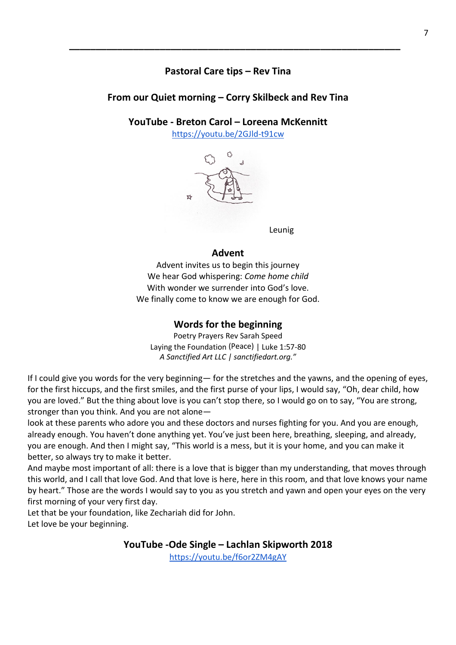## **Pastoral Care tips – Rev Tina**

**\_\_\_\_\_\_\_\_\_\_\_\_\_\_\_\_\_\_\_\_\_\_\_\_\_\_\_\_\_\_\_\_\_\_\_\_\_\_\_\_\_\_\_\_\_\_\_\_\_\_\_\_\_\_\_\_\_\_\_\_\_\_**

## **From our Quiet morning – Corry Skilbeck and Rev Tina**

### **YouTube - Breton Carol – Loreena McKennitt**

<https://youtu.be/2GJld-t91cw>



Leunig

### **Advent**

Advent invites us to begin this journey We hear God whispering: *Come home child* With wonder we surrender into God's love. We finally come to know we are enough for God.

### **Words for the beginning**

Poetry Prayers Rev Sarah Speed Laying the Foundation (Peace) | Luke 1:57-80 *A Sanctified Art LLC | sanctifiedart.org."*

If I could give you words for the very beginning— for the stretches and the yawns, and the opening of eyes, for the first hiccups, and the first smiles, and the first purse of your lips, I would say, "Oh, dear child, how you are loved." But the thing about love is you can't stop there, so I would go on to say, "You are strong, stronger than you think. And you are not alone—

look at these parents who adore you and these doctors and nurses fighting for you. And you are enough, already enough. You haven't done anything yet. You've just been here, breathing, sleeping, and already, you are enough. And then I might say, "This world is a mess, but it is your home, and you can make it better, so always try to make it better.

And maybe most important of all: there is a love that is bigger than my understanding, that moves through this world, and I call that love God. And that love is here, here in this room, and that love knows your name by heart." Those are the words I would say to you as you stretch and yawn and open your eyes on the very first morning of your very first day.

Let that be your foundation, like Zechariah did for John.

Let love be your beginning.

**YouTube -Ode Single – Lachlan Skipworth 2018**

<https://youtu.be/f6or2ZM4gAY>